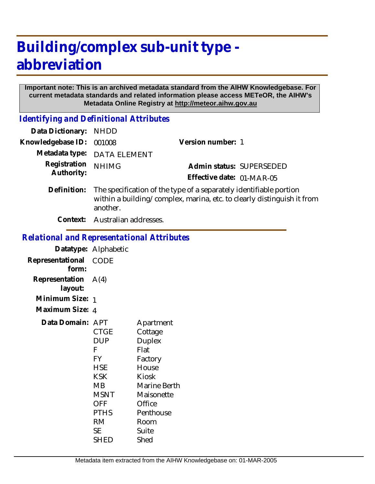# **Building/complex sub-unit type abbreviation**

#### **Important note: This is an archived metadata standard from the AIHW Knowledgebase. For current metadata standards and related information please access METeOR, the AIHW's Metadata Online Registry at http://meteor.aihw.gov.au**

*Identifying and Definitional Attributes*

| Data Dictionary:           | <b>NHDD</b>                                                                                                                                              |                           |  |
|----------------------------|----------------------------------------------------------------------------------------------------------------------------------------------------------|---------------------------|--|
| Knowledgebase ID:          | 001008                                                                                                                                                   | Version number: 1         |  |
| Metadata type:             | <b>DATA ELEMENT</b>                                                                                                                                      |                           |  |
| Registration<br>Authority: | <b>NHIMG</b>                                                                                                                                             | Admin status: SUPERSEDED  |  |
|                            |                                                                                                                                                          | Effective date: 01-MAR-05 |  |
| Definition:                | The specification of the type of a separately identifiable portion<br>within a building/complex, marina, etc. to clearly distinguish it from<br>another. |                           |  |
| Context:                   | Australian addresses.                                                                                                                                    |                           |  |
|                            |                                                                                                                                                          |                           |  |

#### *Relational and Representational Attributes*

|                                  | Datatype: Alphabetic                                                                                                                          |                                                                                                                                                          |
|----------------------------------|-----------------------------------------------------------------------------------------------------------------------------------------------|----------------------------------------------------------------------------------------------------------------------------------------------------------|
| Representational<br>form:        | CODE                                                                                                                                          |                                                                                                                                                          |
| Representation $A(4)$<br>layout: |                                                                                                                                               |                                                                                                                                                          |
| Minimum Size:                    | -1                                                                                                                                            |                                                                                                                                                          |
| Maximum Size: 4                  |                                                                                                                                               |                                                                                                                                                          |
| Data Domain:                     | APT<br>CTGE<br>DUP<br>F<br><b>FY</b><br><b>HSE</b><br><b>KSK</b><br>MВ<br><b>MSNT</b><br><b>OFF</b><br><b>PTHS</b><br>RM<br><b>SE</b><br>SHED | Apartment<br>Cottage<br><b>Duplex</b><br>Flat<br>Factory<br>House<br>Kiosk<br>Marine Berth<br>Maisonette<br>Office<br>Penthouse<br>Room<br>Suite<br>Shed |